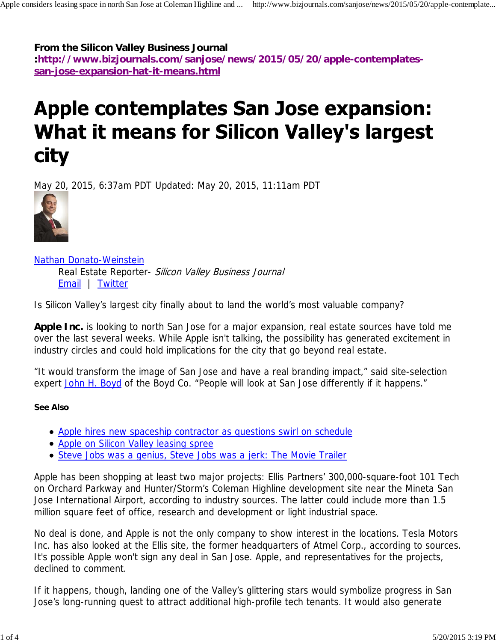**From the Silicon Valley Business Journal**

**:http://www.bizjournals.com/sanjose/news/2015/05/20/apple-contemplatessan-jose-expansion-hat-it-means.html**

# **Apple contemplates San Jose expansion: What it means for Silicon Valley's largest city**

May 20, 2015, 6:37am PDT Updated: May 20, 2015, 11:11am PDT



Nathan Donato-Weinstein

Real Estate Reporter- Silicon Valley Business Journal Email | Twitter

Is Silicon Valley's largest city finally about to land the world's most valuable company?

**Apple Inc.** is looking to north San Jose for a major expansion, real estate sources have told me over the last several weeks. While Apple isn't talking, the possibility has generated excitement in industry circles and could hold implications for the city that go beyond real estate.

"It would transform the image of San Jose and have a real branding impact," said site-selection expert John H. Boyd of the Boyd Co. "People will look at San Jose differently if it happens."

#### **See Also**

- Apple hires new spaceship contractor as questions swirl on schedule
- Apple on Silicon Valley leasing spree
- Steve Jobs was a genius, Steve Jobs was a jerk: The Movie Trailer

Apple has been shopping at least two major projects: Ellis Partners' 300,000-square-foot 101 Tech on Orchard Parkway and Hunter/Storm's Coleman Highline development site near the Mineta San Jose International Airport, according to industry sources. The latter could include more than 1.5 million square feet of office, research and development or light industrial space.

No deal is done, and Apple is not the only company to show interest in the locations. Tesla Motors Inc. has also looked at the Ellis site, the former headquarters of Atmel Corp., according to sources. It's possible Apple won't sign any deal in San Jose. Apple, and representatives for the projects, declined to comment.

If it happens, though, landing one of the Valley's glittering stars would symbolize progress in San Jose's long-running quest to attract additional high-profile tech tenants. It would also generate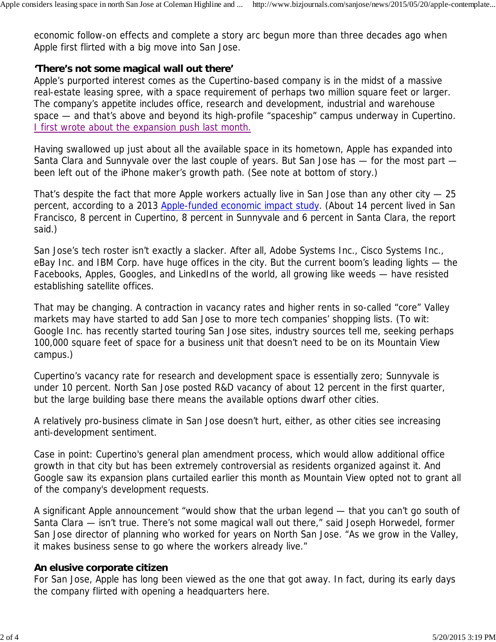economic follow-on effects and complete a story arc begun more than three decades ago when Apple first flirted with a big move into San Jose.

# **'There's not some magical wall out there'**

Apple's purported interest comes as the Cupertino-based company is in the midst of a massive real-estate leasing spree, with a space requirement of perhaps two million square feet or larger. The company's appetite includes office, research and development, industrial and warehouse space — and that's above and beyond its high-profile "spaceship" campus underway in Cupertino. I first wrote about the expansion push last month.

Having swallowed up just about all the available space in its hometown, Apple has expanded into Santa Clara and Sunnyvale over the last couple of years. But San Jose has — for the most part been left out of the iPhone maker's growth path. (See note at bottom of story.)

That's despite the fact that more Apple workers actually live in San Jose than any other city — 25 percent, according to a 2013 Apple-funded economic impact study. (About 14 percent lived in San Francisco, 8 percent in Cupertino, 8 percent in Sunnyvale and 6 percent in Santa Clara, the report said.)

San Jose's tech roster isn't exactly a slacker. After all, Adobe Systems Inc., Cisco Systems Inc., eBay Inc. and IBM Corp. have huge offices in the city. But the current boom's leading lights — the Facebooks, Apples, Googles, and LinkedIns of the world, all growing like weeds — have resisted establishing satellite offices.

That may be changing. A contraction in vacancy rates and higher rents in so-called "core" Valley markets may have started to add San Jose to more tech companies' shopping lists. (To wit: Google Inc. has recently started touring San Jose sites, industry sources tell me, seeking perhaps 100,000 square feet of space for a business unit that doesn't need to be on its Mountain View campus.)

Cupertino's vacancy rate for research and development space is essentially zero; Sunnyvale is under 10 percent. North San Jose posted R&D vacancy of about 12 percent in the first quarter, but the large building base there means the available options dwarf other cities.

A relatively pro-business climate in San Jose doesn't hurt, either, as other cities see increasing anti-development sentiment.

Case in point: Cupertino's general plan amendment process, which would allow additional office growth in that city but has been extremely controversial as residents organized against it. And Google saw its expansion plans curtailed earlier this month as Mountain View opted not to grant all of the company's development requests.

A significant Apple announcement "would show that the urban legend — that you can't go south of Santa Clara — isn't true. There's not some magical wall out there," said Joseph Horwedel, former San Jose director of planning who worked for years on North San Jose. "As we grow in the Valley, it makes business sense to go where the workers already live."

# **An elusive corporate citizen**

For San Jose, Apple has long been viewed as the one that got away. In fact, during its early days the company flirted with opening a headquarters here.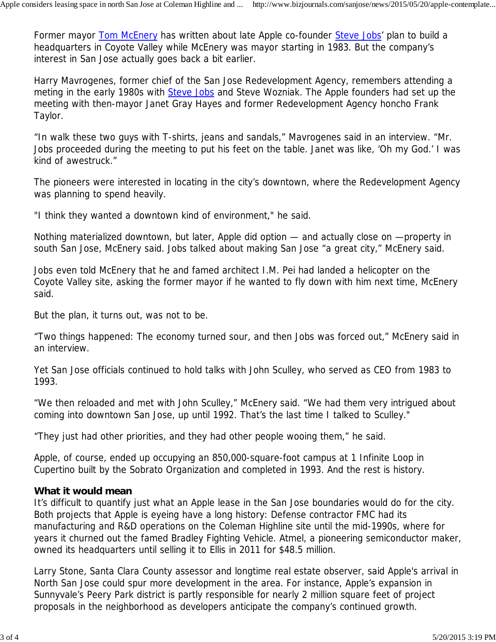Former mayor Tom McEnery has written about late Apple co-founder Steve Jobs' plan to build a headquarters in Coyote Valley while McEnery was mayor starting in 1983. But the company's interest in San Jose actually goes back a bit earlier.

Harry Mavrogenes, former chief of the San Jose Redevelopment Agency, remembers attending a meting in the early 1980s with Steve Jobs and Steve Wozniak. The Apple founders had set up the meeting with then-mayor Janet Gray Hayes and former Redevelopment Agency honcho Frank Taylor.

"In walk these two guys with T-shirts, jeans and sandals," Mavrogenes said in an interview. "Mr. Jobs proceeded during the meeting to put his feet on the table. Janet was like, 'Oh my God.' I was kind of awestruck."

The pioneers were interested in locating in the city's downtown, where the Redevelopment Agency was planning to spend heavily.

"I think they wanted a downtown kind of environment," he said.

Nothing materialized downtown, but later, Apple did option — and actually close on —property in south San Jose, McEnery said. Jobs talked about making San Jose "a great city," McEnery said.

Jobs even told McEnery that he and famed architect I.M. Pei had landed a helicopter on the Coyote Valley site, asking the former mayor if he wanted to fly down with him next time, McEnery said.

But the plan, it turns out, was not to be.

"Two things happened: The economy turned sour, and then Jobs was forced out," McEnery said in an interview.

Yet San Jose officials continued to hold talks with John Sculley, who served as CEO from 1983 to 1993.

"We then reloaded and met with John Sculley," McEnery said. "We had them very intrigued about coming into downtown San Jose, up until 1992. That's the last time I talked to Sculley."

"They just had other priorities, and they had other people wooing them," he said.

Apple, of course, ended up occupying an 850,000-square-foot campus at 1 Infinite Loop in Cupertino built by the Sobrato Organization and completed in 1993. And the rest is history.

# **What it would mean**

It's difficult to quantify just what an Apple lease in the San Jose boundaries would do for the city. Both projects that Apple is eyeing have a long history: Defense contractor FMC had its manufacturing and R&D operations on the Coleman Highline site until the mid-1990s, where for years it churned out the famed Bradley Fighting Vehicle. Atmel, a pioneering semiconductor maker, owned its headquarters until selling it to Ellis in 2011 for \$48.5 million.

Larry Stone, Santa Clara County assessor and longtime real estate observer, said Apple's arrival in North San Jose could spur more development in the area. For instance, Apple's expansion in Sunnyvale's Peery Park district is partly responsible for nearly 2 million square feet of project proposals in the neighborhood as developers anticipate the company's continued growth.